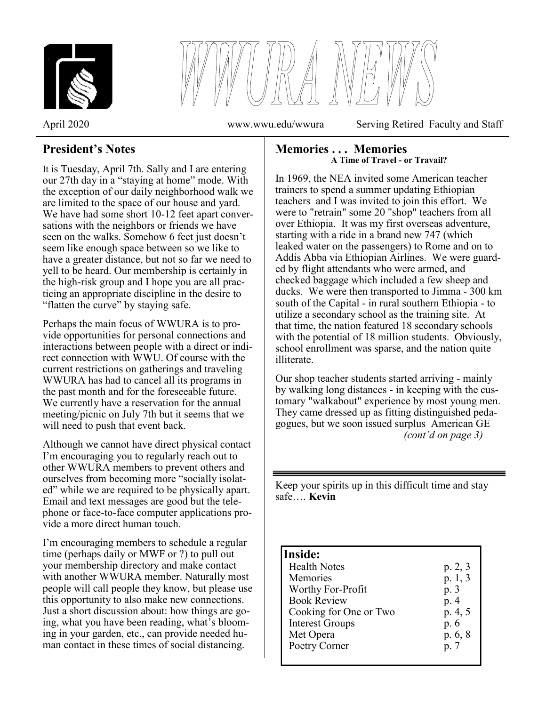



April 2020 www.wwu.edu/wwura Serving Retired Faculty and Staff

# **President's Notes**

It is Tuesday, April 7th. Sally and I are entering our 27th day in a "staying at home" mode. With the exception of our daily neighborhood walk we are limited to the space of our house and yard. We have had some short 10-12 feet apart conversations with the neighbors or friends we have seen on the walks. Somehow 6 feet just doesn't seem like enough space between so we like to have a greater distance, but not so far we need to yell to be heard. Our membership is certainly in the high-risk group and I hope you are all practicing an appropriate discipline in the desire to "flatten the curve" by staying safe.

Perhaps the main focus of WWURA is to provide opportunities for personal connections and interactions between people with a direct or indirect connection with WWU. Of course with the current restrictions on gatherings and traveling WWURA has had to cancel all its programs in the past month and for the foreseeable future. We currently have a reservation for the annual meeting/picnic on July 7th but it seems that we will need to push that event back.

Although we cannot have direct physical contact I'm encouraging you to regularly reach out to other WWURA members to prevent others and ourselves from becoming more "socially isolated" while we are required to be physically apart. Email and text messages are good but the telephone or face-to-face computer applications provide a more direct human touch.

I'm encouraging members to schedule a regular time (perhaps daily or MWF or ?) to pull out your membership directory and make contact with another WWURA member. Naturally most people will call people they know, but please use this opportunity to also make new connections. Just a short discussion about: how things are going, what you have been reading, what's blooming in your garden, etc., can provide needed human contact in these times of social distancing.

### **Memories . . . Memories A Time of Travel - or Travail?**

In 1969, the NEA invited some American teacher trainers to spend a summer updating Ethiopian teachers and I was invited to join this effort. We were to "retrain" some 20 "shop" teachers from all over Ethiopia. It was my first overseas adventure, starting with a ride in a brand new 747 (which leaked water on the passengers) to Rome and on to Addis Abba via Ethiopian Airlines. We were guarded by flight attendants who were armed, and checked baggage which included a few sheep and ducks. We were then transported to Jimma - 300 km south of the Capital - in rural southern Ethiopia - to utilize a secondary school as the training site. At that time, the nation featured 18 secondary schools with the potential of 18 million students. Obviously, school enrollment was sparse, and the nation quite illiterate.

Our shop teacher students started arriving - mainly by walking long distances - in keeping with the customary "walkabout" experience by most young men. They came dressed up as fitting distinguished pedagogues, but we soon issued surplus American GE *(cont'd on page 3)*

Keep your spirits up in this difficult time and stay safe…. **Kevin**

### **Inside:**

ֺ֞֝֬

| <b>Health Notes</b>    | p. 2, 3 |
|------------------------|---------|
| Memories               | p. 1, 3 |
| Worthy For-Profit      | p. 3    |
| <b>Book Review</b>     | p. 4    |
| Cooking for One or Two | p. 4, 5 |
| <b>Interest Groups</b> | p. 6    |
| Met Opera              | p. 6, 8 |
| Poetry Corner          | p. 7    |
|                        |         |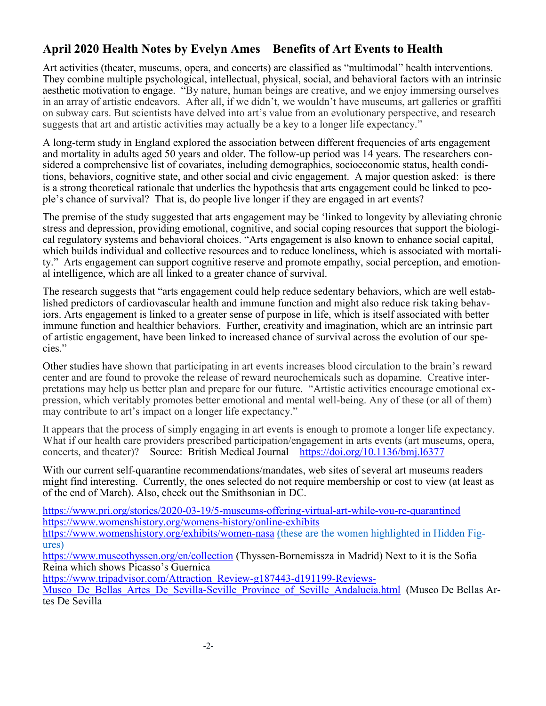# **April 2020 Health Notes by Evelyn Ames Benefits of Art Events to Health**

Art activities (theater, museums, opera, and concerts) are classified as "multimodal" health interventions. They combine multiple psychological, intellectual, physical, social, and behavioral factors with an intrinsic aesthetic motivation to engage. "By nature, human beings are creative, and we enjoy immersing ourselves in an array of artistic endeavors. After all, if we didn't, we wouldn't have museums, art galleries or graffiti on subway cars. But scientists have delved into art's value from an evolutionary perspective, and research suggests that art and artistic activities may actually be a key to a longer life expectancy."

A long-term study in England explored the association between different frequencies of arts engagement and mortality in adults aged 50 years and older. The follow-up period was 14 years. The researchers considered a comprehensive list of covariates, including demographics, socioeconomic status, health conditions, behaviors, cognitive state, and other social and civic engagement. A major question asked: is there is a strong theoretical rationale that underlies the hypothesis that arts engagement could be linked to people's chance of survival? That is, do people live longer if they are engaged in art events?

The premise of the study suggested that arts engagement may be 'linked to longevity by alleviating chronic stress and depression, providing emotional, cognitive, and social coping resources that support the biological regulatory systems and behavioral choices. "Arts engagement is also known to enhance social capital, which builds individual and collective resources and to reduce loneliness, which is associated with mortality." Arts engagement can support cognitive reserve and promote empathy, social perception, and emotional intelligence, which are all linked to a greater chance of survival.

The research suggests that "arts engagement could help reduce sedentary behaviors, which are well established predictors of cardiovascular health and immune function and might also reduce risk taking behaviors. Arts engagement is linked to a greater sense of purpose in life, which is itself associated with better immune function and healthier behaviors. Further, creativity and imagination, which are an intrinsic part of artistic engagement, have been linked to increased chance of survival across the evolution of our species."

Other studies have shown that participating in art events increases blood circulation to the brain's reward center and are found to provoke the release of reward neurochemicals such as dopamine. Creative interpretations may help us better plan and prepare for our future. "Artistic activities encourage emotional expression, which veritably promotes better emotional and mental well-being. Any of these (or all of them) may contribute to art's impact on a longer life expectancy."

It appears that the process of simply engaging in art events is enough to promote a longer life expectancy. What if our health care providers prescribed participation/engagement in arts events (art museums, opera, concerts, and theater)? Source: British Medical Journal https://doi.org/10.1136/bmj.16377 Ĭ

With our current self-quarantine recommendations/mandates, web sites of several art museums readers might find interesting. Currently, the ones selected do not require membership or cost to view (at least as of the end of March). Also, check out the Smithsonian in DC.

[https://www.pri.org/stories/2020](https://www.pri.org/stories/2020-03-19/5-museums-offering-virtual-art-while-you-re-quarantined)-03-19/5-museums-offering-virt[u](https://www.womenshistory.org/exhibits/women-nasa)al-art-while-you-re-quarantined [https://www.womenshistory.org/womens](https://www.womenshistory.org/womens-history/online-exhibits)-history/online-exhibits

[https://www.womenshistory.org/exhibits/women](https://www.womenshistory.org/exhibits/women-nasa)-nasa (these are the women highlighted in Hidden Figures)

<https://www.museothyssen.org/en/collection> (Thyssen-Bornemissza in Madrid) Next to it is the Sofia Reina which shows Picasso's Guernica

[https://www.tripadvisor.com/Attraction\\_Review](https://www.tripadvisor.com/Attraction_Review-g187443-d191199-Reviews-Museo_De_Bellas_Artes_De_Sevilla-Seville_Province_of_Seville_Andalucia.html)-g187443-d191199-Reviews-

Museo De Bellas Artes De Sevilla-Seville Province of Seville Andalucia.html (Museo De Bellas Artes De Sevilla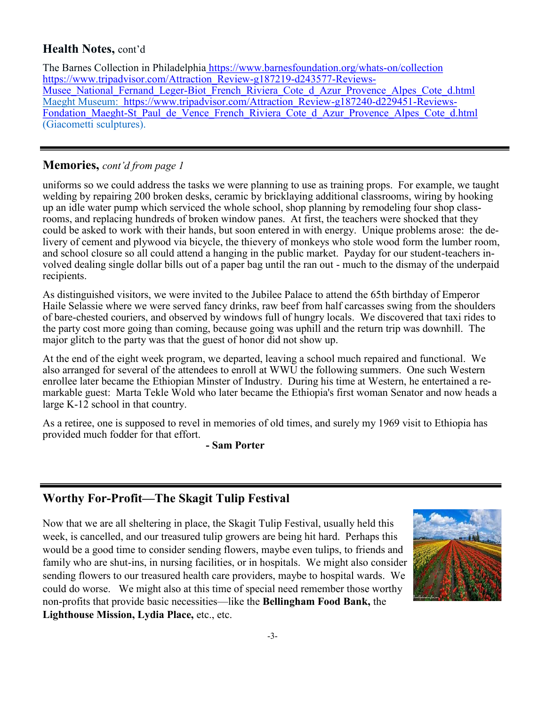# **Health Notes,** cont'd

The Barnes Collection in Philadelphia [https://www.barnesfoundation.org/whats](https://www.barnesfoundation.org/whats-on/collection)-on/collection [https://www.tripadvisor.com/Attraction\\_Review](https://www.tripadvisor.com/Attraction_Review-g187219-d243577-Reviews-Musee_National_Fernand_Leger-Biot_French_Riviera_Cote_d_Azur_Provence_Alpes_Cote_d.html)-g187219-d243577-Reviews-Musee National Fernand Leger-Biot French Riviera Cote d Azur Provence Alpes Cote d.html Maeght Museum: [https://www.tripadvisor.com/Attraction\\_Review](https://www.tripadvisor.com/Attraction_Review-g187240-d229451-Reviews-Fondation_Maeght-St_Paul_de_Vence_French_Riviera_Cote_d_Azur_Provence_Alpes_Cote_d.html)-g187240-d229451-Reviews-Fondation\_Maeght-St\_Paul\_de\_Vence\_French\_Riviera\_Cote\_d\_Azur\_Provence\_Alpes\_Cote\_d.html  $(Giacometti \, sculptures)$ .

## **Memories,** *cont'd from page 1*

uniforms so we could address the tasks we were planning to use as training props. For example, we taught welding by repairing 200 broken desks, ceramic by bricklaying additional classrooms, wiring by hooking up an idle water pump which serviced the whole school, shop planning by remodeling four shop classrooms, and replacing hundreds of broken window panes. At first, the teachers were shocked that they could be asked to work with their hands, but soon entered in with energy. Unique problems arose: the delivery of cement and plywood via bicycle, the thievery of monkeys who stole wood form the lumber room, and school closure so all could attend a hanging in the public market. Payday for our student-teachers involved dealing single dollar bills out of a paper bag until the ran out - much to the dismay of the underpaid recipients.

As distinguished visitors, we were invited to the Jubilee Palace to attend the 65th birthday of Emperor Haile Selassie where we were served fancy drinks, raw beef from half carcasses swing from the shoulders of bare-chested couriers, and observed by windows full of hungry locals. We discovered that taxi rides to the party cost more going than coming, because going was uphill and the return trip was downhill. The major glitch to the party was that the guest of honor did not show up.

At the end of the eight week program, we departed, leaving a school much repaired and functional. We also arranged for several of the attendees to enroll at WWU the following summers. One such Western enrollee later became the Ethiopian Minster of Industry. During his time at Western, he entertained a remarkable guest: Marta Tekle Wold who later became the Ethiopia's first woman Senator and now heads a large K-12 school in that country.

As a retiree, one is supposed to revel in memories of old times, and surely my 1969 visit to Ethiopia has provided much fodder for that effort.

**- Sam Porter**

# **Worthy For-Profit—The Skagit Tulip Festival**

Now that we are all sheltering in place, the Skagit Tulip Festival, usually held this week, is cancelled, and our treasured tulip growers are being hit hard. Perhaps this would be a good time to consider sending flowers, maybe even tulips, to friends and family who are shut-ins, in nursing facilities, or in hospitals. We might also consider sending flowers to our treasured health care providers, maybe to hospital wards. We could do worse. We might also at this time of special need remember those worthy non-profits that provide basic necessities—like the **Bellingham Food Bank,** the **Lighthouse Mission, Lydia Place,** etc., etc.

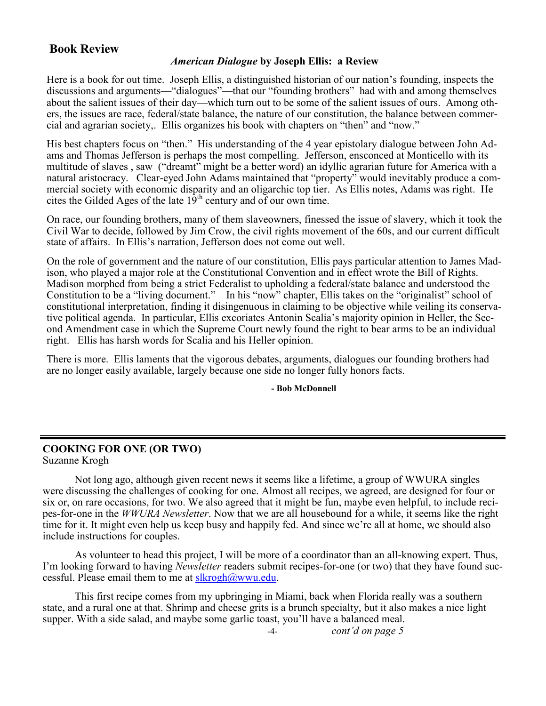### **Book Review**

### *American Dialogue* **by Joseph Ellis: a Review**

Here is a book for out time. Joseph Ellis, a distinguished historian of our nation's founding, inspects the discussions and arguments—"dialogues"—that our "founding brothers" had with and among themselves about the salient issues of their day—which turn out to be some of the salient issues of ours. Among others, the issues are race, federal/state balance, the nature of our constitution, the balance between commercial and agrarian society,. Ellis organizes his book with chapters on "then" and "now."

His best chapters focus on "then." His understanding of the 4 year epistolary dialogue between John Adams and Thomas Jefferson is perhaps the most compelling. Jefferson, ensconced at Monticello with its multitude of slaves , saw ("dreamt" might be a better word) an idyllic agrarian future for America with a natural aristocracy. Clear-eyed John Adams maintained that "property" would inevitably produce a commercial society with economic disparity and an oligarchic top tier. As Ellis notes, Adams was right. He cites the Gilded Ages of the late  $19<sup>th</sup>$  century and of our own time.

On race, our founding brothers, many of them slaveowners, finessed the issue of slavery, which it took the Civil War to decide, followed by Jim Crow, the civil rights movement of the 60s, and our current difficult state of affairs. In Ellis's narration, Jefferson does not come out well.

On the role of government and the nature of our constitution, Ellis pays particular attention to James Madison, who played a major role at the Constitutional Convention and in effect wrote the Bill of Rights. Madison morphed from being a strict Federalist to upholding a federal/state balance and understood the Constitution to be a "living document." In his "now" chapter, Ellis takes on the "originalist" school of constitutional interpretation, finding it disingenuous in claiming to be objective while veiling its conservative political agenda. In particular, Ellis excoriates Antonin Scalia's majority opinion in Heller, the Second Amendment case in which the Supreme Court newly found the right to bear arms to be an individual right. Ellis has harsh words for Scalia and his Heller opinion.

There is more. Ellis laments that the vigorous debates, arguments, dialogues our founding brothers had are no longer easily available, largely because one side no longer fully honors facts.

**- Bob McDonnell**

#### **COOKING FOR ONE (OR TWO)** Suzanne Krogh

Not long ago, although given recent news it seems like a lifetime, a group of WWURA singles were discussing the challenges of cooking for one. Almost all recipes, we agreed, are designed for four or six or, on rare occasions, for two. We also agreed that it might be fun, maybe even helpful, to include recipes-for-one in the *WWURA Newsletter*. Now that we are all housebound for a while, it seems like the right time for it. It might even help us keep busy and happily fed. And since we're all at home, we should also include instructions for couples.

As volunteer to head this project, I will be more of a coordinator than an all-knowing expert. Thus, I'm looking forward to having *Newsletter* readers submit recipes-for-one (or two) that they have found successful. Please email them to me at [slkrogh@wwu.edu.](mailto:slkrogh@wwu.edu)

This first recipe comes from my upbringing in Miami, back when Florida really was a southern state, and a rural one at that. Shrimp and cheese grits is a brunch specialty, but it also makes a nice light supper. With a side salad, and maybe some garlic toast, you'll have a balanced meal.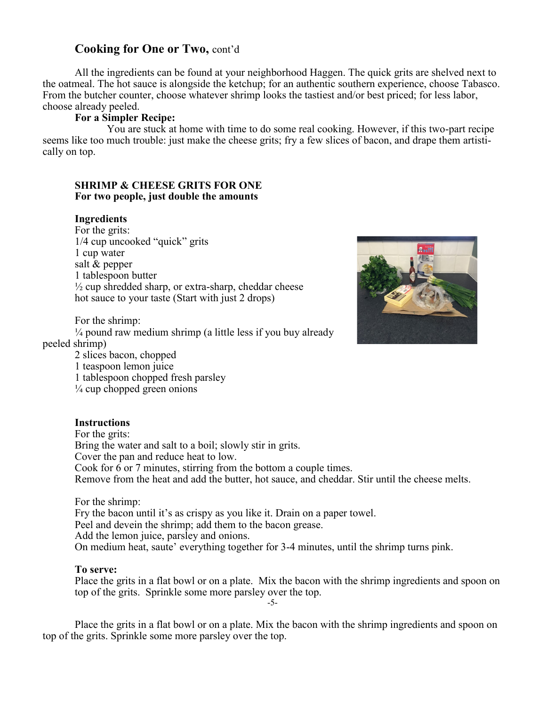### **Cooking for One or Two,** cont'd

All the ingredients can be found at your neighborhood Haggen. The quick grits are shelved next to the oatmeal. The hot sauce is alongside the ketchup; for an authentic southern experience, choose Tabasco. From the butcher counter, choose whatever shrimp looks the tastiest and/or best priced; for less labor, choose already peeled.

#### **For a Simpler Recipe:**

You are stuck at home with time to do some real cooking. However, if this two-part recipe seems like too much trouble: just make the cheese grits; fry a few slices of bacon, and drape them artistically on top.

#### **SHRIMP & CHEESE GRITS FOR ONE For two people, just double the amounts**

#### **Ingredients**

For the grits: 1/4 cup uncooked "quick" grits 1 cup water salt & pepper 1 tablespoon butter  $\frac{1}{2}$  cup shredded sharp, or extra-sharp, cheddar cheese hot sauce to your taste (Start with just 2 drops)

For the shrimp:

 $\frac{1}{4}$  pound raw medium shrimp (a little less if you buy already peeled shrimp)

2 slices bacon, chopped

1 teaspoon lemon juice 1 tablespoon chopped fresh parsley

 $\frac{1}{4}$  cup chopped green onions

#### **Instructions**

For the grits: Bring the water and salt to a boil; slowly stir in grits. Cover the pan and reduce heat to low. Cook for 6 or 7 minutes, stirring from the bottom a couple times. Remove from the heat and add the butter, hot sauce, and cheddar. Stir until the cheese melts.

For the shrimp:

Fry the bacon until it's as crispy as you like it. Drain on a paper towel.

Peel and devein the shrimp; add them to the bacon grease.

Add the lemon juice, parsley and onions.

On medium heat, saute' everything together for 3-4 minutes, until the shrimp turns pink.

#### **To serve:**

Place the grits in a flat bowl or on a plate. Mix the bacon with the shrimp ingredients and spoon on top of the grits. Sprinkle some more parsley over the top.

-5-

Place the grits in a flat bowl or on a plate. Mix the bacon with the shrimp ingredients and spoon on top of the grits. Sprinkle some more parsley over the top.

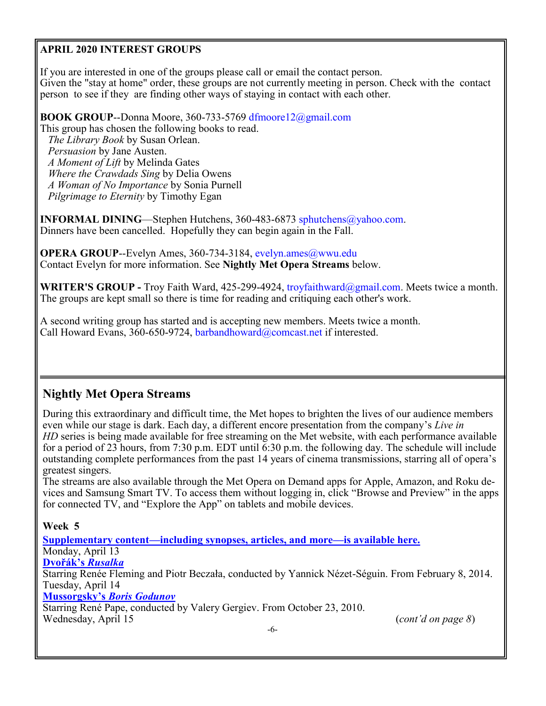### **APRIL 2020 INTEREST GROUPS**

If you are interested in one of the groups please call or email the contact person. Given the "stay at home" order, these groups are not currently meeting in person. Check with the contact person to see if they are finding other ways of staying in contact with each other.

**BOOK GROUP**--Donna Moore, 360-733-5769 dfmoore12@gmail.com

This group has chosen the following books to read.  *The Library Book* by Susan Orlean.  *Persuasion* by Jane Austen.  *A Moment of Lift* by Melinda Gates  *Where the Crawdads Sing* by Delia Owens  *A Woman of No Importance* by Sonia Purnell  *Pilgrimage to Eternity* by Timothy Egan

**INFORMAL DINING—Stephen Hutchens, 360-483-6873 sphutchens@yahoo.com.** Dinners have been cancelled. Hopefully they can begin again in the Fall.

**OPERA GROUP--Evelyn Ames, 360-734-3184, evelyn.ames@wwu.edu** Contact Evelyn for more information. See **Nightly Met Opera Streams** below.

**WRITER'S GROUP -** Troy Faith Ward, 425-299-4924, troyfaithward@gmail.com. Meets twice a month. The groups are kept small so there is time for reading and critiquing each other's work.

A second writing group has started and is accepting new members. Meets twice a month. Call Howard Evans, 360-650-9724, barbandhoward@comcast.net if interested.

# **Nightly Met Opera Streams**

During this extraordinary and difficult time, the Met hopes to brighten the lives of our audience members even while our stage is dark. Each day, a different encore presentation from the company's *Live in HD* series is being made available for free streaming on the Met website, with each performance available for a period of 23 hours, from 7:30 p.m. EDT until 6:30 p.m. the following day. The schedule will include outstanding complete performances from the past 14 years of cinema transmissions, starring all of opera's greatest singers.

The streams are also available through the Met Opera on Demand apps for Apple, Amazon, and Roku devices and Samsung Smart TV. To access them without logging in, click "Browse and Preview" in the apps for connected TV, and "Explore the App" on tablets and mobile devices.

**Week 5**

**[Supplementary content—including synopses, articles, and more—is available here.](https://www.metopera.org/link/72c590934d4f44d3b67cd89c2045ee94.aspx)** Monday, April 13 **[Dvořák](https://www.metopera.org/link/8601ccf66b394032b83d5776cab34177.aspx?upc=811357017166)'s** *[Rusalka](https://www.metopera.org/link/8601ccf66b394032b83d5776cab34177.aspx?upc=811357017166)* Starring Renée Fleming and Piotr Beczała, conducted by Yannick Nézet-Séguin. From February 8, 2014. Tuesday, April 14 **[Mussorgsky](https://www.metopera.org/link/8601ccf66b394032b83d5776cab34177.aspx?upc=811357013939)'s** *[Boris Godunov](https://www.metopera.org/link/8601ccf66b394032b83d5776cab34177.aspx?upc=811357013939)* Starring René Pape, conducted by Valery Gergiev. From October 23, 2010. Wednesday, April 15 (*cont'd on page 8*)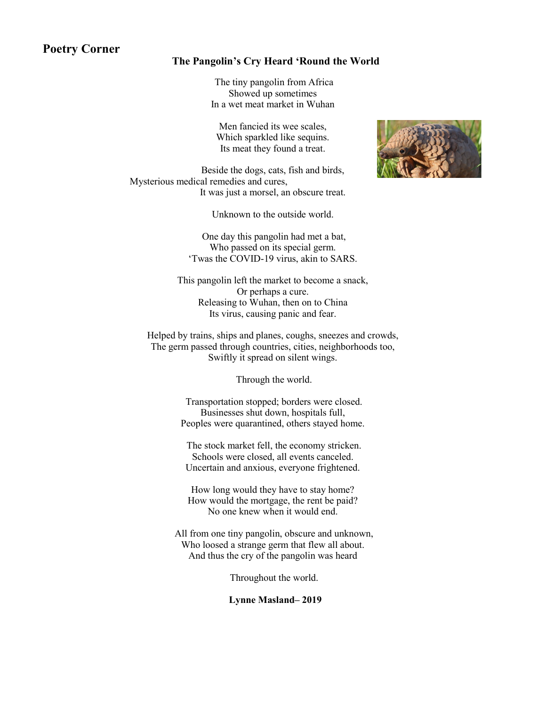### **Poetry Corner**

#### **The Pangolin's Cry Heard 'Round the World**

The tiny pangolin from Africa Showed up sometimes In a wet meat market in Wuhan

Men fancied its wee scales, Which sparkled like sequins. Its meat they found a treat.

Beside the dogs, cats, fish and birds, Mysterious medical remedies and cures, It was just a morsel, an obscure treat.

Unknown to the outside world.

One day this pangolin had met a bat, Who passed on its special germ. 'Twas the COVID-19 virus, akin to SARS.

This pangolin left the market to become a snack, Or perhaps a cure. Releasing to Wuhan, then on to China Its virus, causing panic and fear.

Helped by trains, ships and planes, coughs, sneezes and crowds, The germ passed through countries, cities, neighborhoods too, Swiftly it spread on silent wings.

Through the world.

Transportation stopped; borders were closed. Businesses shut down, hospitals full, Peoples were quarantined, others stayed home.

The stock market fell, the economy stricken. Schools were closed, all events canceled. Uncertain and anxious, everyone frightened.

How long would they have to stay home? How would the mortgage, the rent be paid? No one knew when it would end.

All from one tiny pangolin, obscure and unknown, Who loosed a strange germ that flew all about. And thus the cry of the pangolin was heard

Throughout the world.

**Lynne Masland– 2019**